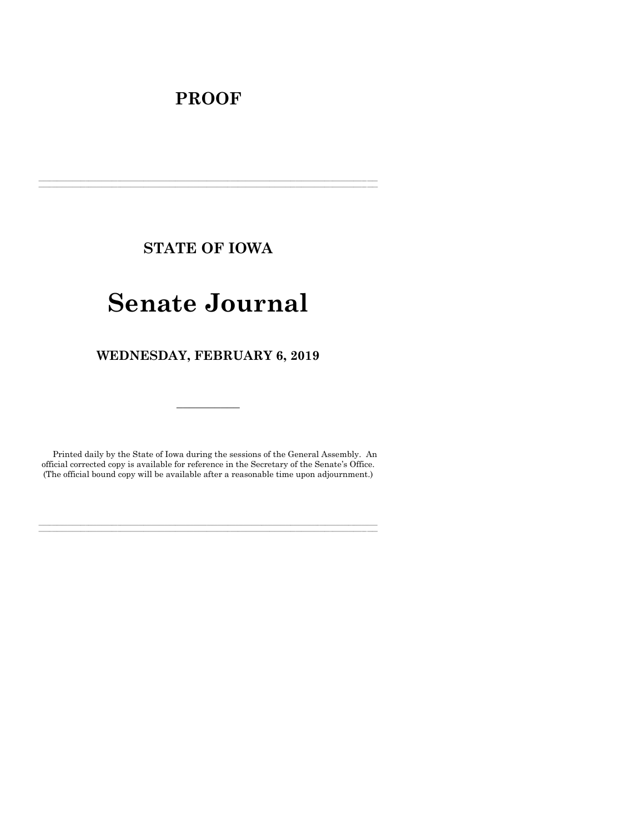# **PROOF**

**STATE OF IOWA**

**\_\_\_\_\_\_\_\_\_\_\_\_\_\_\_\_\_\_\_\_\_\_\_\_\_\_\_\_\_\_\_\_\_\_\_\_\_\_\_\_\_\_\_\_\_\_\_\_\_\_\_\_\_\_\_\_\_\_\_\_\_\_\_\_\_\_\_\_\_\_\_\_\_\_\_\_\_\_\_\_\_\_\_\_\_\_\_\_\_\_\_\_\_\_\_\_\_\_\_\_\_\_\_\_\_\_\_\_\_\_\_\_\_\_\_\_\_\_\_\_\_\_\_\_\_\_\_\_\_ \_\_\_\_\_\_\_\_\_\_\_\_\_\_\_\_\_\_\_\_\_\_\_\_\_\_\_\_\_\_\_\_\_\_\_\_\_\_\_\_\_\_\_\_\_\_\_\_\_\_\_\_\_\_\_\_\_\_\_\_\_\_\_\_\_\_\_\_\_\_\_\_\_\_\_\_\_\_\_\_\_\_\_\_\_\_\_\_\_\_\_\_\_\_\_\_\_\_\_\_\_\_\_\_\_\_\_\_\_\_\_\_\_\_\_\_\_\_\_\_\_\_\_\_\_\_\_\_\_**

# **Senate Journal**

**WEDNESDAY, FEBRUARY 6, 2019**

Printed daily by the State of Iowa during the sessions of the General Assembly. An official corrected copy is available for reference in the Secretary of the Senate's Office. (The official bound copy will be available after a reasonable time upon adjournment.)

**\_\_\_\_\_\_\_\_\_\_\_\_\_\_\_\_\_\_\_\_\_\_\_\_\_\_\_\_\_\_\_\_\_\_\_\_\_\_\_\_\_\_\_\_\_\_\_\_\_\_\_\_\_\_\_\_\_\_\_\_\_\_\_\_\_\_\_\_\_\_\_\_\_\_\_\_\_\_\_\_\_\_\_\_\_\_\_\_\_\_\_\_\_\_\_\_\_\_\_\_\_\_\_\_\_\_\_\_\_\_\_\_\_\_\_\_\_\_\_\_\_\_\_\_\_\_\_\_\_ \_\_\_\_\_\_\_\_\_\_\_\_\_\_\_\_\_\_\_\_\_\_\_\_\_\_\_\_\_\_\_\_\_\_\_\_\_\_\_\_\_\_\_\_\_\_\_\_\_\_\_\_\_\_\_\_\_\_\_\_\_\_\_\_\_\_\_\_\_\_\_\_\_\_\_\_\_\_\_\_\_\_\_\_\_\_\_\_\_\_\_\_\_\_\_\_\_\_\_\_\_\_\_\_\_\_\_\_\_\_\_\_\_\_\_\_\_\_\_\_\_\_\_\_\_\_\_\_\_**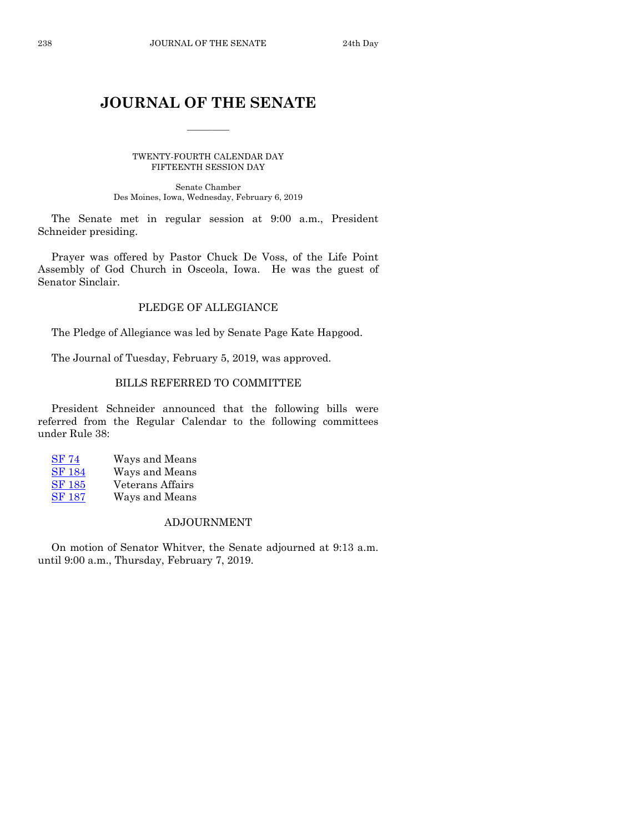# **JOURNAL OF THE SENATE**

 $\frac{1}{2}$ 

TWENTY-FOURTH CALENDAR DAY FIFTEENTH SESSION DAY

Senate Chamber Des Moines, Iowa, Wednesday, February 6, 2019

The Senate met in regular session at 9:00 a.m., President Schneider presiding.

Prayer was offered by Pastor Chuck De Voss, of the Life Point Assembly of God Church in Osceola, Iowa. He was the guest of Senator Sinclair.

# PLEDGE OF ALLEGIANCE

The Pledge of Allegiance was led by Senate Page Kate Hapgood.

The Journal of Tuesday, February 5, 2019, was approved.

# BILLS REFERRED TO COMMITTEE

President Schneider announced that the following bills were referred from the Regular Calendar to the following committees under Rule 38:

[SF 74](https://www.legis.iowa.gov/legislation/BillBook?ga=88&ba=SF74) Ways and Means [SF 184](https://www.legis.iowa.gov/legislation/BillBook?ga=88&ba=SF184) Ways and Means [SF 185](https://www.legis.iowa.gov/legislation/BillBook?ga=88&ba=SF185) Veterans Affairs [SF 187](https://www.legis.iowa.gov/legislation/BillBook?ga=88&ba=SF187) Ways and Means

# ADJOURNMENT

On motion of Senator Whitver, the Senate adjourned at 9:13 a.m. until 9:00 a.m., Thursday, February 7, 2019.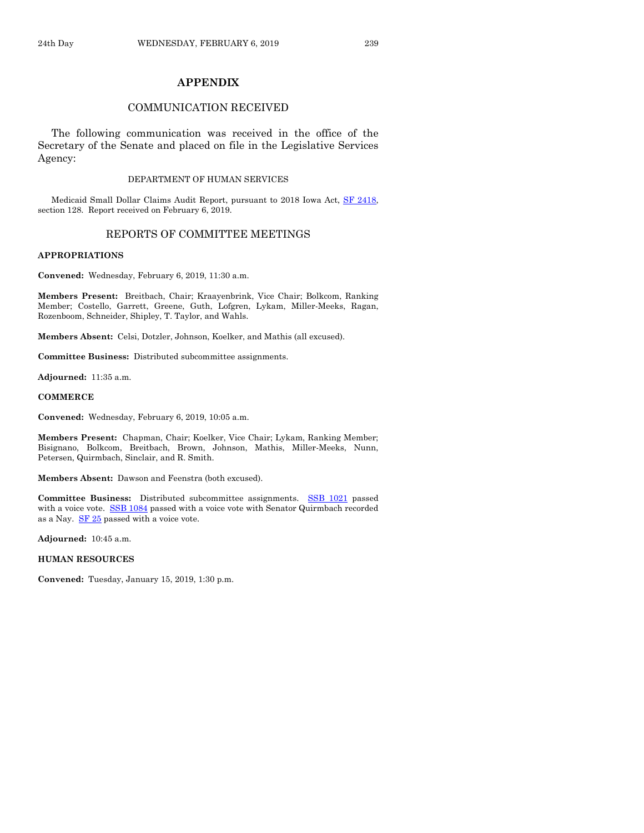# **APPENDIX**

# COMMUNICATION RECEIVED

The following communication was received in the office of the Secretary of the Senate and placed on file in the Legislative Services Agency:

#### DEPARTMENT OF HUMAN SERVICES

Medicaid Small Dollar Claims Audit Report, pursuant to 2018 Iowa Act, [SF 2418,](https://www.legis.iowa.gov/legislation/BillBook?ga=88&ba=SF2418) section 128. Report received on February 6, 2019.

## REPORTS OF COMMITTEE MEETINGS

#### **APPROPRIATIONS**

**Convened:** Wednesday, February 6, 2019, 11:30 a.m.

**Members Present:** Breitbach, Chair; Kraayenbrink, Vice Chair; Bolkcom, Ranking Member; Costello, Garrett, Greene, Guth, Lofgren, Lykam, Miller-Meeks, Ragan, Rozenboom, Schneider, Shipley, T. Taylor, and Wahls.

**Members Absent:** Celsi, Dotzler, Johnson, Koelker, and Mathis (all excused).

**Committee Business:** Distributed subcommittee assignments.

**Adjourned:** 11:35 a.m.

#### **COMMERCE**

**Convened:** Wednesday, February 6, 2019, 10:05 a.m.

**Members Present:** Chapman, Chair; Koelker, Vice Chair; Lykam, Ranking Member; Bisignano, Bolkcom, Breitbach, Brown, Johnson, Mathis, Miller-Meeks, Nunn, Petersen, Quirmbach, Sinclair, and R. Smith.

**Members Absent:** Dawson and Feenstra (both excused).

Committee Business: Distributed subcommittee assignments. **[SSB 1021](https://www.legis.iowa.gov/legislation/BillBook?ga=88&ba=SSB1021)** passed with a voice vote. [SSB 1084](https://www.legis.iowa.gov/legislation/BillBook?ga=88&ba=SSB1084) passed with a voice vote with Senator Quirmbach recorded as a Nay.  $S$ F  $25$  passed with a voice vote.

**Adjourned:** 10:45 a.m.

# **HUMAN RESOURCES**

**Convened:** Tuesday, January 15, 2019, 1:30 p.m.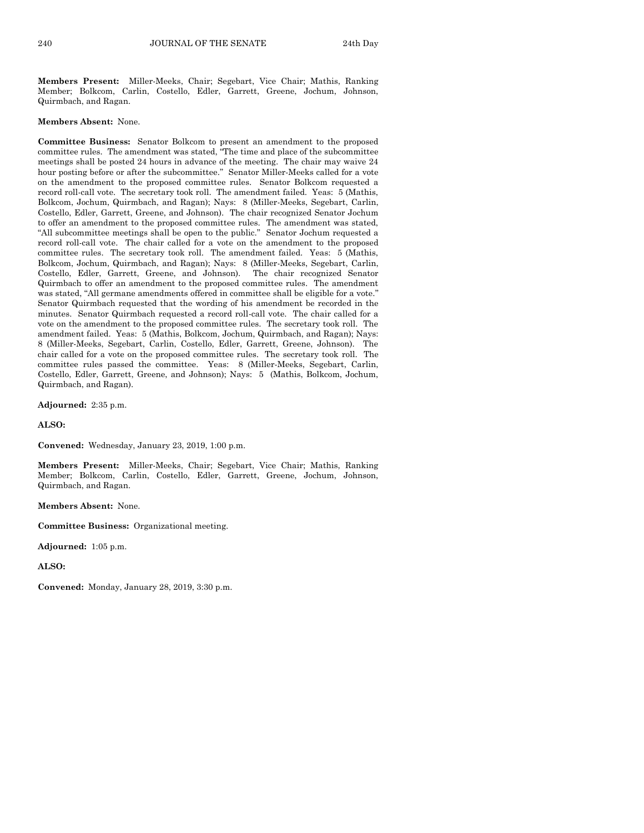**Members Present:** Miller-Meeks, Chair; Segebart, Vice Chair; Mathis, Ranking Member; Bolkcom, Carlin, Costello, Edler, Garrett, Greene, Jochum, Johnson, Quirmbach, and Ragan.

#### **Members Absent:** None.

**Committee Business:** Senator Bolkcom to present an amendment to the proposed committee rules. The amendment was stated, "The time and place of the subcommittee meetings shall be posted 24 hours in advance of the meeting. The chair may waive 24 hour posting before or after the subcommittee." Senator Miller-Meeks called for a vote on the amendment to the proposed committee rules. Senator Bolkcom requested a record roll-call vote. The secretary took roll. The amendment failed. Yeas: 5 (Mathis, Bolkcom, Jochum, Quirmbach, and Ragan); Nays: 8 (Miller-Meeks, Segebart, Carlin, Costello, Edler, Garrett, Greene, and Johnson). The chair recognized Senator Jochum to offer an amendment to the proposed committee rules. The amendment was stated, "All subcommittee meetings shall be open to the public." Senator Jochum requested a record roll-call vote. The chair called for a vote on the amendment to the proposed committee rules. The secretary took roll. The amendment failed. Yeas: 5 (Mathis, Bolkcom, Jochum, Quirmbach, and Ragan); Nays: 8 (Miller-Meeks, Segebart, Carlin, Costello, Edler, Garrett, Greene, and Johnson). The chair recognized Senator Quirmbach to offer an amendment to the proposed committee rules. The amendment was stated, "All germane amendments offered in committee shall be eligible for a vote." Senator Quirmbach requested that the wording of his amendment be recorded in the minutes. Senator Quirmbach requested a record roll-call vote. The chair called for a vote on the amendment to the proposed committee rules. The secretary took roll. The amendment failed. Yeas: 5 (Mathis, Bolkcom, Jochum, Quirmbach, and Ragan); Nays: 8 (Miller-Meeks, Segebart, Carlin, Costello, Edler, Garrett, Greene, Johnson). The chair called for a vote on the proposed committee rules. The secretary took roll. The committee rules passed the committee. Yeas: 8 (Miller-Meeks, Segebart, Carlin, Costello, Edler, Garrett, Greene, and Johnson); Nays: 5 (Mathis, Bolkcom, Jochum, Quirmbach, and Ragan).

**Adjourned:** 2:35 p.m.

**ALSO:**

**Convened:** Wednesday, January 23, 2019, 1:00 p.m.

**Members Present:** Miller-Meeks, Chair; Segebart, Vice Chair; Mathis, Ranking Member; Bolkcom, Carlin, Costello, Edler, Garrett, Greene, Jochum, Johnson, Quirmbach, and Ragan.

**Members Absent:** None.

**Committee Business:** Organizational meeting.

**Adjourned:** 1:05 p.m.

**ALSO:**

**Convened:** Monday, January 28, 2019, 3:30 p.m.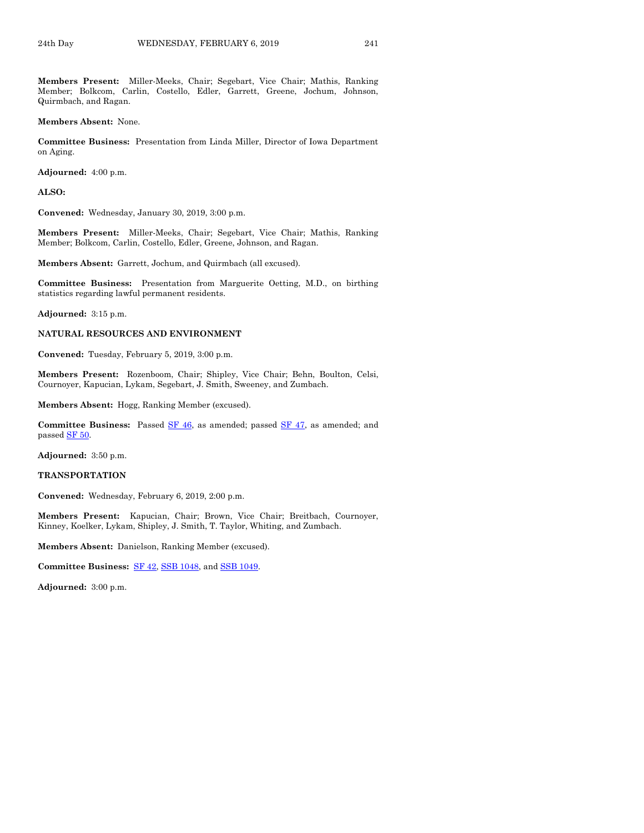**Members Present:** Miller-Meeks, Chair; Segebart, Vice Chair; Mathis, Ranking Member; Bolkcom, Carlin, Costello, Edler, Garrett, Greene, Jochum, Johnson, Quirmbach, and Ragan.

**Members Absent:** None.

**Committee Business:** Presentation from Linda Miller, Director of Iowa Department on Aging.

**Adjourned:** 4:00 p.m.

**ALSO:**

**Convened:** Wednesday, January 30, 2019, 3:00 p.m.

**Members Present:** Miller-Meeks, Chair; Segebart, Vice Chair; Mathis, Ranking Member; Bolkcom, Carlin, Costello, Edler, Greene, Johnson, and Ragan.

**Members Absent:** Garrett, Jochum, and Quirmbach (all excused).

**Committee Business:** Presentation from Marguerite Oetting, M.D., on birthing statistics regarding lawful permanent residents.

**Adjourned:** 3:15 p.m.

#### **NATURAL RESOURCES AND ENVIRONMENT**

**Convened:** Tuesday, February 5, 2019, 3:00 p.m.

**Members Present:** Rozenboom, Chair; Shipley, Vice Chair; Behn, Boulton, Celsi, Cournoyer, Kapucian, Lykam, Segebart, J. Smith, Sweeney, and Zumbach.

**Members Absent:** Hogg, Ranking Member (excused).

**Committee Business:** Passed **SF 46**, as amended; passed **SF 47**, as amended; and passe[d SF 50.](https://www.legis.iowa.gov/legislation/BillBook?ga=88&ba=SF50)

**Adjourned:** 3:50 p.m.

#### **TRANSPORTATION**

**Convened:** Wednesday, February 6, 2019, 2:00 p.m.

**Members Present:** Kapucian, Chair; Brown, Vice Chair; Breitbach, Cournoyer, Kinney, Koelker, Lykam, Shipley, J. Smith, T. Taylor, Whiting, and Zumbach.

**Members Absent:** Danielson, Ranking Member (excused).

**Committee Business:** [SF 42,](https://www.legis.iowa.gov/legislation/BillBook?ga=88&ba=SF42) [SSB 1048,](https://www.legis.iowa.gov/legislation/BillBook?ga=88&ba=SSB1048) an[d SSB 1049.](https://www.legis.iowa.gov/legislation/BillBook?ga=88&ba=SSB1049)

**Adjourned:** 3:00 p.m.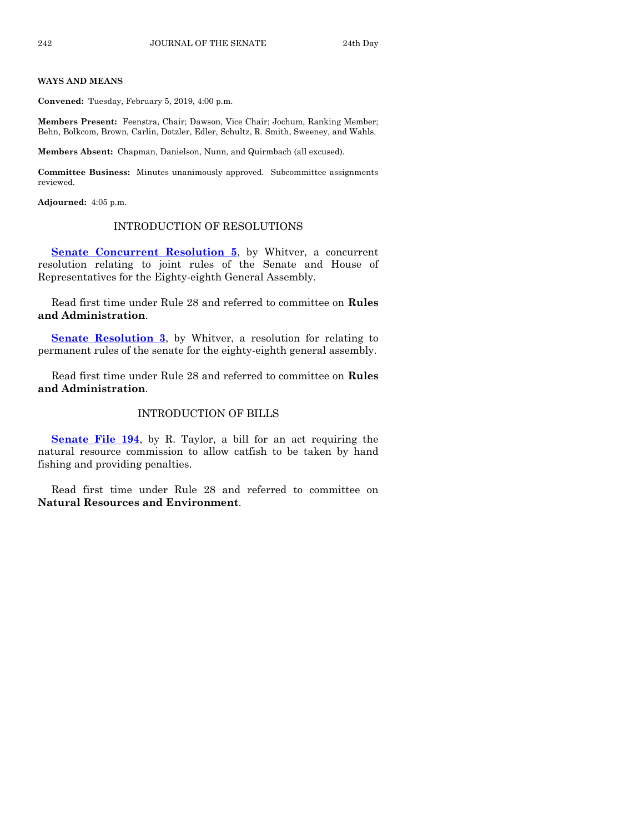#### **WAYS AND MEANS**

**Convened:** Tuesday, February 5, 2019, 4:00 p.m.

**Members Present:** Feenstra, Chair; Dawson, Vice Chair; Jochum, Ranking Member; Behn, Bolkcom, Brown, Carlin, Dotzler, Edler, Schultz, R. Smith, Sweeney, and Wahls.

**Members Absent:** Chapman, Danielson, Nunn, and Quirmbach (all excused).

**Committee Business:** Minutes unanimously approved. Subcommittee assignments reviewed.

**Adjourned:** 4:05 p.m.

# INTRODUCTION OF RESOLUTIONS

**[Senate Concurrent Resolution 5](https://www.legis.iowa.gov/legislation/BillBook?ga=88&ba=SCR5)**, by Whitver, a concurrent resolution relating to joint rules of the Senate and House of Representatives for the Eighty-eighth General Assembly.

Read first time under Rule 28 and referred to committee on **Rules and Administration**.

**[Senate Resolution 3](https://www.legis.iowa.gov/legislation/BillBook?ga=88&ba=SR3)**, by Whitver, a resolution for relating to permanent rules of the senate for the eighty-eighth general assembly.

Read first time under Rule 28 and referred to committee on **Rules and Administration**.

# INTRODUCTION OF BILLS

**[Senate File 194](https://www.legis.iowa.gov/legislation/BillBook?ga=88&ba=SF194)**, by R. Taylor, a bill for an act requiring the natural resource commission to allow catfish to be taken by hand fishing and providing penalties.

Read first time under Rule 28 and referred to committee on **Natural Resources and Environment**.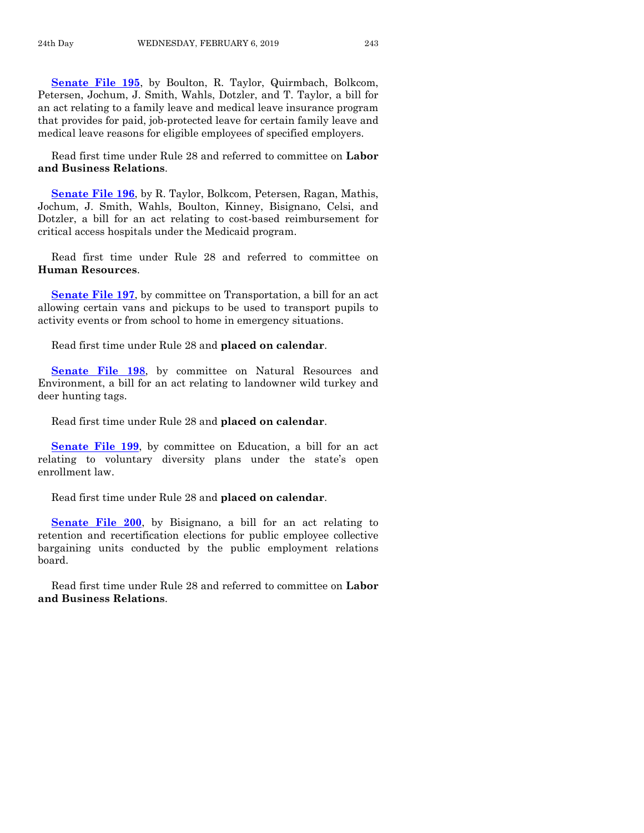**[Senate File 195](https://www.legis.iowa.gov/legislation/BillBook?ga=88&ba=SF195)**, by Boulton, R. Taylor, Quirmbach, Bolkcom, Petersen, Jochum, J. Smith, Wahls, Dotzler, and T. Taylor, a bill for an act relating to a family leave and medical leave insurance program that provides for paid, job-protected leave for certain family leave and medical leave reasons for eligible employees of specified employers.

Read first time under Rule 28 and referred to committee on **Labor and Business Relations**.

**[Senate File 196](https://www.legis.iowa.gov/legislation/BillBook?ga=88&ba=SF196)**, by R. Taylor, Bolkcom, Petersen, Ragan, Mathis, Jochum, J. Smith, Wahls, Boulton, Kinney, Bisignano, Celsi, and Dotzler, a bill for an act relating to cost-based reimbursement for critical access hospitals under the Medicaid program.

Read first time under Rule 28 and referred to committee on **Human Resources**.

**[Senate File 197](https://www.legis.iowa.gov/legislation/BillBook?ga=88&ba=SF197)**, by committee on Transportation, a bill for an act allowing certain vans and pickups to be used to transport pupils to activity events or from school to home in emergency situations.

Read first time under Rule 28 and **placed on calendar**.

**[Senate File 198](https://www.legis.iowa.gov/legislation/BillBook?ga=88&ba=SF198)**, by committee on Natural Resources and Environment, a bill for an act relating to landowner wild turkey and deer hunting tags.

Read first time under Rule 28 and **placed on calendar**.

**[Senate File 199](https://www.legis.iowa.gov/legislation/BillBook?ga=88&ba=SF199)**, by committee on Education, a bill for an act relating to voluntary diversity plans under the state's open enrollment law.

Read first time under Rule 28 and **placed on calendar**.

**[Senate File 200](https://www.legis.iowa.gov/legislation/BillBook?ga=88&ba=SF200)**, by Bisignano, a bill for an act relating to retention and recertification elections for public employee collective bargaining units conducted by the public employment relations board.

Read first time under Rule 28 and referred to committee on **Labor and Business Relations**.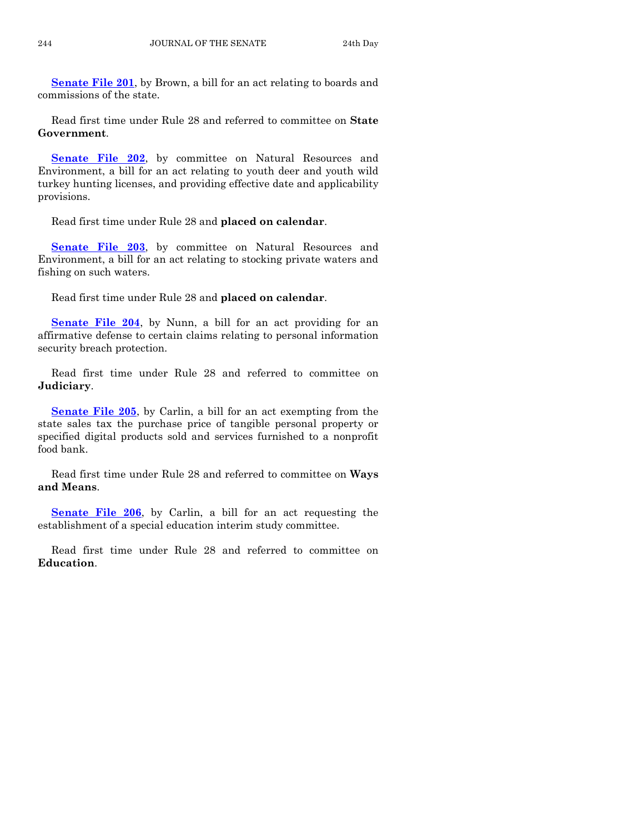**[Senate File 201](https://www.legis.iowa.gov/legislation/BillBook?ga=88&ba=SF201)**, by Brown, a bill for an act relating to boards and commissions of the state.

Read first time under Rule 28 and referred to committee on **State Government**.

**[Senate File 202](https://www.legis.iowa.gov/legislation/BillBook?ga=88&ba=SF202)**, by committee on Natural Resources and Environment, a bill for an act relating to youth deer and youth wild turkey hunting licenses, and providing effective date and applicability provisions.

Read first time under Rule 28 and **placed on calendar**.

**[Senate File 203](https://www.legis.iowa.gov/legislation/BillBook?ga=88&ba=SF203)**, by committee on Natural Resources and Environment, a bill for an act relating to stocking private waters and fishing on such waters.

Read first time under Rule 28 and **placed on calendar**.

**[Senate File 204](https://www.legis.iowa.gov/legislation/BillBook?ga=88&ba=SF204)**, by Nunn, a bill for an act providing for an affirmative defense to certain claims relating to personal information security breach protection.

Read first time under Rule 28 and referred to committee on **Judiciary**.

**[Senate File 205](https://www.legis.iowa.gov/legislation/BillBook?ga=88&ba=SF205)**, by Carlin, a bill for an act exempting from the state sales tax the purchase price of tangible personal property or specified digital products sold and services furnished to a nonprofit food bank.

Read first time under Rule 28 and referred to committee on **Ways and Means**.

**[Senate File 206](https://www.legis.iowa.gov/legislation/BillBook?ga=88&ba=SF206)**, by Carlin, a bill for an act requesting the establishment of a special education interim study committee.

Read first time under Rule 28 and referred to committee on **Education**.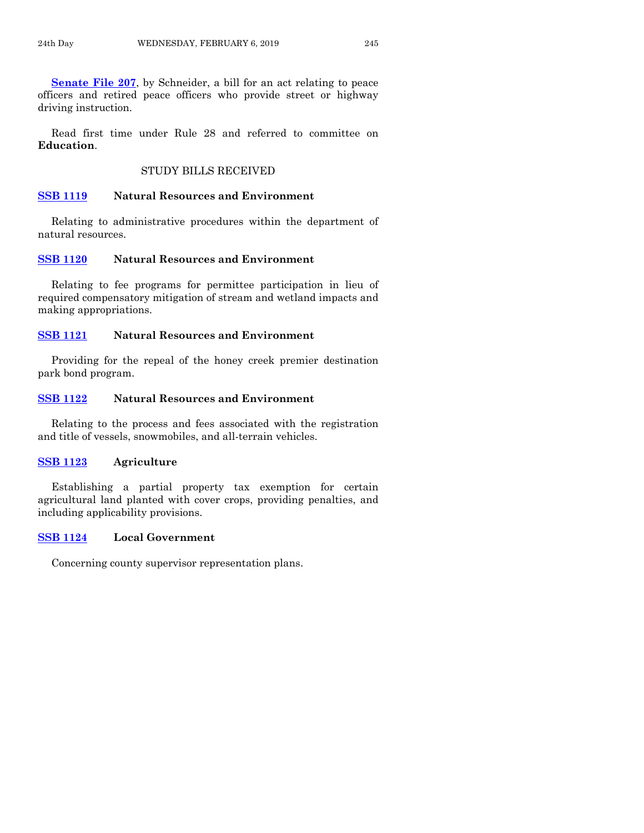**[Senate File 207](https://www.legis.iowa.gov/legislation/BillBook?ga=88&ba=SF207)**, by Schneider, a bill for an act relating to peace officers and retired peace officers who provide street or highway driving instruction.

Read first time under Rule 28 and referred to committee on **Education**.

# STUDY BILLS RECEIVED

# **[SSB 1119](https://www.legis.iowa.gov/legislation/BillBook?ga=88&ba=SSB1119) Natural Resources and Environment**

Relating to administrative procedures within the department of natural resources.

# **[SSB 1120](https://www.legis.iowa.gov/legislation/BillBook?ga=88&ba=SSB1120) Natural Resources and Environment**

Relating to fee programs for permittee participation in lieu of required compensatory mitigation of stream and wetland impacts and making appropriations.

# **[SSB 1121](https://www.legis.iowa.gov/legislation/BillBook?ga=88&ba=SSB1121) Natural Resources and Environment**

Providing for the repeal of the honey creek premier destination park bond program.

# **[SSB 1122](https://www.legis.iowa.gov/legislation/BillBook?ga=88&ba=SSB1122) Natural Resources and Environment**

Relating to the process and fees associated with the registration and title of vessels, snowmobiles, and all-terrain vehicles.

# **[SSB 1123](https://www.legis.iowa.gov/legislation/BillBook?ga=88&ba=SSB1123) Agriculture**

Establishing a partial property tax exemption for certain agricultural land planted with cover crops, providing penalties, and including applicability provisions.

# **[SSB 1124](https://www.legis.iowa.gov/legislation/BillBook?ga=88&ba=SSB1124) Local Government**

Concerning county supervisor representation plans.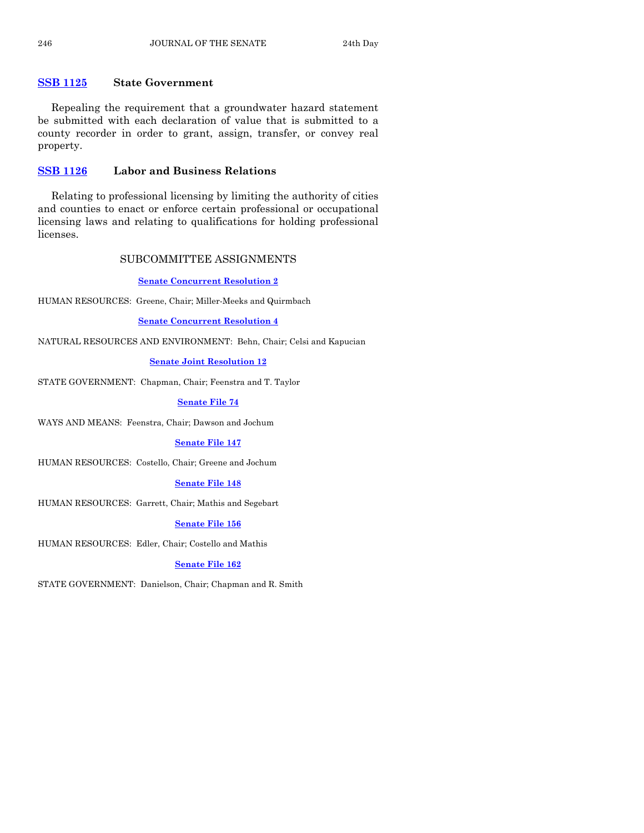# **[SSB 1125](https://www.legis.iowa.gov/legislation/BillBook?ga=88&ba=SSB1125) State Government**

Repealing the requirement that a groundwater hazard statement be submitted with each declaration of value that is submitted to a county recorder in order to grant, assign, transfer, or convey real property.

# **[SSB 1126](https://www.legis.iowa.gov/legislation/BillBook?ga=88&ba=SSB1126) Labor and Business Relations**

Relating to professional licensing by limiting the authority of cities and counties to enact or enforce certain professional or occupational licensing laws and relating to qualifications for holding professional licenses.

# SUBCOMMITTEE ASSIGNMENTS

# **[Senate Concurrent Resolution 2](https://www.legis.iowa.gov/legislation/BillBook?ga=88&ba=SCR2)**

HUMAN RESOURCES: Greene, Chair; Miller-Meeks and Quirmbach

## **[Senate Concurrent Resolution 4](https://www.legis.iowa.gov/legislation/BillBook?ga=88&ba=SCR4)**

NATURAL RESOURCES AND ENVIRONMENT: Behn, Chair; Celsi and Kapucian

# **[Senate Joint Resolution 12](https://www.legis.iowa.gov/legislation/BillBook?ga=88&ba=SJR12)**

STATE GOVERNMENT: Chapman, Chair; Feenstra and T. Taylor

## **[Senate File 74](https://www.legis.iowa.gov/legislation/BillBook?ga=88&ba=SF74)**

WAYS AND MEANS: Feenstra, Chair; Dawson and Jochum

#### **[Senate File 147](https://www.legis.iowa.gov/legislation/BillBook?ga=88&ba=SF147)**

HUMAN RESOURCES: Costello, Chair; Greene and Jochum

# **[Senate File 148](https://www.legis.iowa.gov/legislation/BillBook?ga=88&ba=SF148)**

HUMAN RESOURCES: Garrett, Chair; Mathis and Segebart

# **[Senate File 156](https://www.legis.iowa.gov/legislation/BillBook?ga=88&ba=SF156)**

HUMAN RESOURCES: Edler, Chair; Costello and Mathis

# **[Senate File 162](https://www.legis.iowa.gov/legislation/BillBook?ga=88&ba=SF162)**

STATE GOVERNMENT: Danielson, Chair; Chapman and R. Smith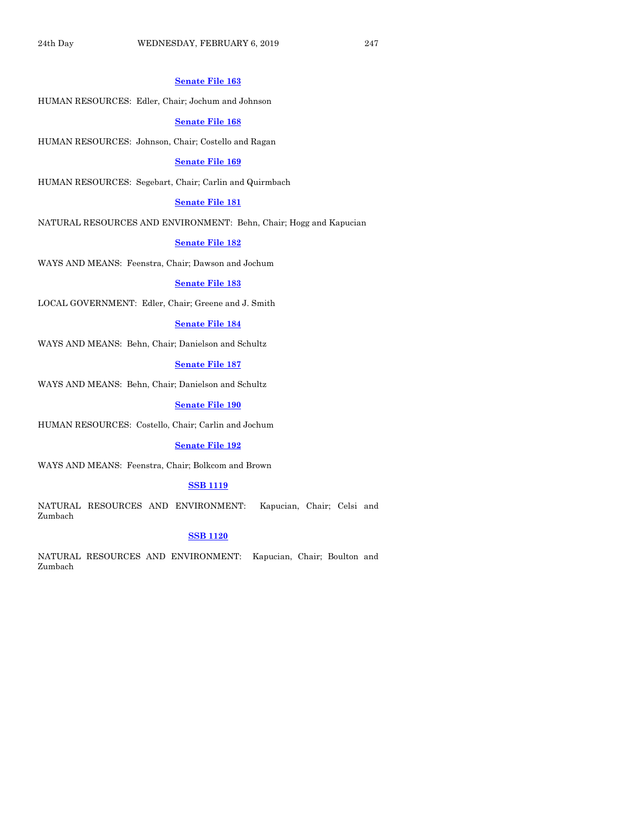#### **[Senate File 163](https://www.legis.iowa.gov/legislation/BillBook?ga=88&ba=SF163)**

HUMAN RESOURCES: Edler, Chair; Jochum and Johnson

#### **[Senate File 168](https://www.legis.iowa.gov/legislation/BillBook?ga=88&ba=SF168)**

HUMAN RESOURCES: Johnson, Chair; Costello and Ragan

#### **[Senate File 169](https://www.legis.iowa.gov/legislation/BillBook?ga=88&ba=SF169)**

HUMAN RESOURCES: Segebart, Chair; Carlin and Quirmbach

# **[Senate File 181](https://www.legis.iowa.gov/legislation/BillBook?ga=88&ba=SF181)**

NATURAL RESOURCES AND ENVIRONMENT: Behn, Chair; Hogg and Kapucian

#### **[Senate File 182](https://www.legis.iowa.gov/legislation/BillBook?ga=88&ba=SF182)**

WAYS AND MEANS: Feenstra, Chair; Dawson and Jochum

### **[Senate File 183](https://www.legis.iowa.gov/legislation/BillBook?ga=88&ba=SF183)**

LOCAL GOVERNMENT: Edler, Chair; Greene and J. Smith

#### **[Senate File 184](https://www.legis.iowa.gov/legislation/BillBook?ga=88&ba=SF184)**

WAYS AND MEANS: Behn, Chair; Danielson and Schultz

# **[Senate File 187](https://www.legis.iowa.gov/legislation/BillBook?ga=88&ba=SF187)**

WAYS AND MEANS: Behn, Chair; Danielson and Schultz

#### **[Senate File 190](https://www.legis.iowa.gov/legislation/BillBook?ga=88&ba=SF190)**

HUMAN RESOURCES: Costello, Chair; Carlin and Jochum

#### **[Senate File 192](https://www.legis.iowa.gov/legislation/BillBook?ga=88&ba=SF192)**

WAYS AND MEANS: Feenstra, Chair; Bolkcom and Brown

## **[SSB 1119](https://www.legis.iowa.gov/legislation/BillBook?ga=88&ba=SSB1119)**

NATURAL RESOURCES AND ENVIRONMENT: Kapucian, Chair; Celsi and Zumbach

# **[SSB 1120](https://www.legis.iowa.gov/legislation/BillBook?ga=88&ba=SSB1120)**

NATURAL RESOURCES AND ENVIRONMENT: Kapucian, Chair; Boulton and Zumbach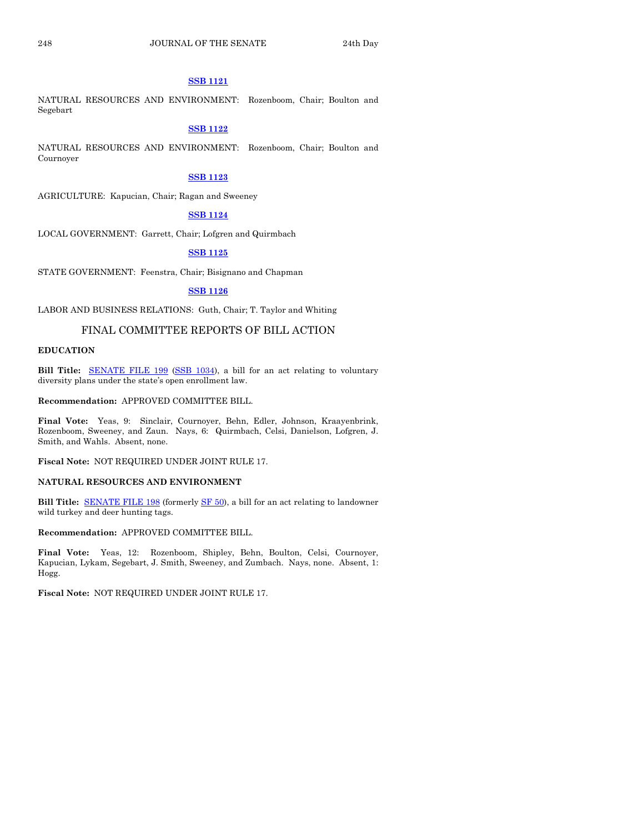# **[SSB 1121](https://www.legis.iowa.gov/legislation/BillBook?ga=88&ba=SSB1121)**

NATURAL RESOURCES AND ENVIRONMENT: Rozenboom, Chair; Boulton and Segebart

# **[SSB 1122](https://www.legis.iowa.gov/legislation/BillBook?ga=88&ba=SSB1122)**

NATURAL RESOURCES AND ENVIRONMENT: Rozenboom, Chair; Boulton and Cournoyer

#### **[SSB 1123](https://www.legis.iowa.gov/legislation/BillBook?ga=88&ba=SSB1123)**

AGRICULTURE: Kapucian, Chair; Ragan and Sweeney

# **[SSB 1124](https://www.legis.iowa.gov/legislation/BillBook?ga=88&ba=SSB1124)**

LOCAL GOVERNMENT: Garrett, Chair; Lofgren and Quirmbach

#### **[SSB 1125](https://www.legis.iowa.gov/legislation/BillBook?ga=88&ba=SSB1125)**

STATE GOVERNMENT: Feenstra, Chair; Bisignano and Chapman

#### **[SSB 1126](https://www.legis.iowa.gov/legislation/BillBook?ga=88&ba=SSB1126)**

LABOR AND BUSINESS RELATIONS: Guth, Chair; T. Taylor and Whiting

# FINAL COMMITTEE REPORTS OF BILL ACTION

#### **EDUCATION**

Bill Title: **[SENATE FILE 199](https://www.legis.iowa.gov/legislation/BillBook?ga=88&ba=SF199) [\(SSB 1034\)](https://www.legis.iowa.gov/legislation/BillBook?ga=88&ba=SSB1034)**, a bill for an act relating to voluntary diversity plans under the state's open enrollment law.

**Recommendation:** APPROVED COMMITTEE BILL.

**Final Vote:** Yeas, 9: Sinclair, Cournoyer, Behn, Edler, Johnson, Kraayenbrink, Rozenboom, Sweeney, and Zaun. Nays, 6: Quirmbach, Celsi, Danielson, Lofgren, J. Smith, and Wahls. Absent, none.

**Fiscal Note:** NOT REQUIRED UNDER JOINT RULE 17.

#### **NATURAL RESOURCES AND ENVIRONMENT**

**Bill Title:** [SENATE FILE 198](https://www.legis.iowa.gov/legislation/BillBook?ga=88&ba=SF198) (formerly [SF 50\)](https://www.legis.iowa.gov/legislation/BillBook?ga=88&ba=SF50), a bill for an act relating to landowner wild turkey and deer hunting tags.

**Recommendation:** APPROVED COMMITTEE BILL.

**Final Vote:** Yeas, 12: Rozenboom, Shipley, Behn, Boulton, Celsi, Cournoyer, Kapucian, Lykam, Segebart, J. Smith, Sweeney, and Zumbach. Nays, none. Absent, 1: Hogg.

**Fiscal Note:** NOT REQUIRED UNDER JOINT RULE 17.